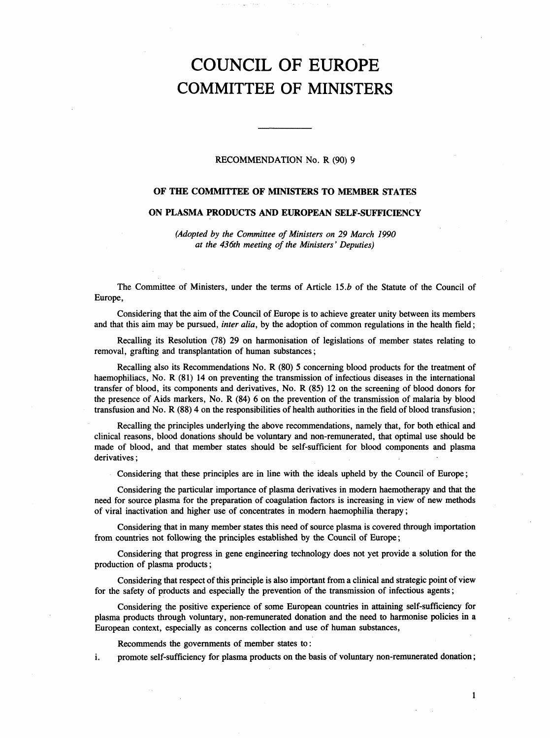# COUNCIL OF EUROPE COMMITTEE OF MINISTERS

## RECOMMENDATION No. R (90) 9

## OF THE COMMITTEE OF MINISTERS TO MEMBER STATES

## ON PLASMA PRODUCTS AND EUROPEAN SELF-SUFFICIENCY

(Adopted by the Committee of Ministers on 29 March 1990 at the 436th meeting of the Ministers' Deputies)

The Committee of Ministers, under the terms of Article 15.*b* of the Statute of the Council of Europe,

Considering that the aim of the Council of Europe is to achieve greater unity between its members and that this aim may be pursued, inter alia, by the adoption of common regulations in the health field;

Recalling its Resolution (78) 29 on harmonisation of legislations of member states relating to removal, grafting and transplantation of human substances;

Recalling also its Recommendations No. R (80) 5 concerning blood products for the treatment of haemophiliacs, No. R (81) 14 on preventing the transmission of infectious diseases in the international transfer of blood, its components and derivatives, No. R (85) 12 on the screening of blood donors for the presence of Aids markers, No. R (84) 6 on the prevention of the transmission of malaria by blood transfusion and No. R (88) 4 on the responsibilities of health authorities in the field of blood transfusion;

Recalling the principles underlying the above recommendations, namely that, for both ethical and clinical reasons, blood donations should be voluntary and non-remunerated, that optimal use should be made of blood, and that member states should be self-sufficient for blood components and plasma derivatives;

Considering that these principles are in line with the ideals upheld by the Council of Europe;

Considering the particular importance of plasma derivatives in modern haemotherapy and that the need for source plasma for the preparation of coagulation factors is increasing in view of new methods of viral inactivation and higher use of concentrates in modern haemophilia therapy;

Considering that in many member states this need of source plasma is covered through importation from countries not following the principles established by the Council of Europe;

Considering that progress in gene engineering technology does not yet provide a solution for the production of plasma products;

Considering that respect of this principle is also important from a clinical and strategic point of view for the safety of products and especially the prevention of the transmission of infectious agents;

Considering the positive experience of some European countries in attaining self-sufficiency for plasma products through voluntary, non-remunerated donation and the need to harmonise policies in a European context, especially as concerns collection and use of human substances,

Recommends the governments of member states to:

i. promote self-sufficiency for plasma products on the basis of voluntary non-remunerated donation;

1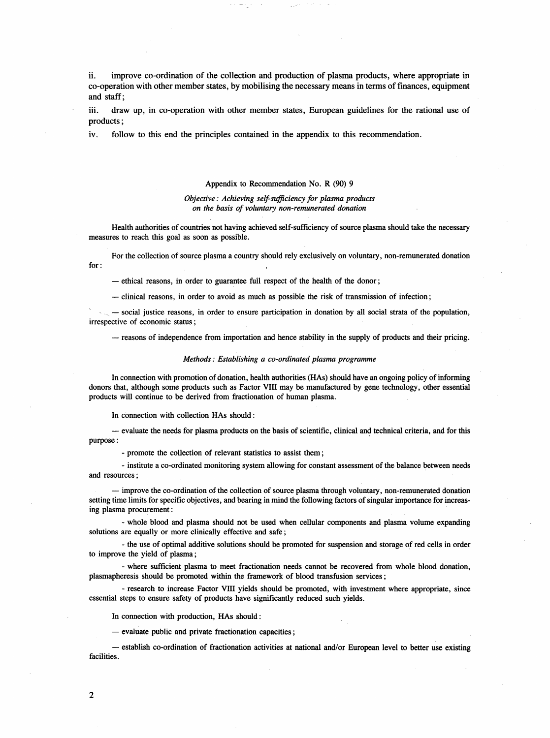ii. improve co-ordination of the collection and production of plasma products, where appropriate in co-operation with other member states, by mobilising the necessary means in terms of finances, equipment and staff;

iii. draw up, in co-operation with other member states, European guidelines for the rational use of products;

iv. follow to this end the principles contained in the appendix to this recommendation.

#### Appendix to Recommendation No. R (90) 9

## Objective: Achieving self-sufficiency for plasma products on the basis of voluntary non-remunerated donation

Health authorities of countries not having achieved self-sufficiency of source plasma should take the necessary measures to reach this goal as soon as possible.

For the collection of source plasma a country should rely exclusively on voluntary, non-remunerated donation for:

- ethical reasons, in order to guarantee full respect of the health of the donor;

- clinical reasons, in order to avoid as much as possible the risk of transmission of infection;

- social justice reasons, in order to ensure participation in donation by all social strata of the population, irrespective of economic status;

- reasons of independence from importation and hence stability in the supply of products and their pricing.

#### Methods: Establishing a co-ordinated plasma programme

In connection with promotion of donation, health authorities (HAs) should have an ongoing policy of informing donors that, although some products such as Factor VIII may be manufactured by gene technology, other essential products will continue to be derived from fractionation of human plasma.

In connection with collection HAs should:

- evaluate the needs for plasma products on the basis of scientific, clinical and technical criteria, and for this purpose:

- promote the collection of relevant statistics to assist them;

- institute a co-ordinated monitoring system allowing for constant assessment of the balance between needs and resources;

- improve the co-ordination of the collection of source plasma through voluntary, non-remunerated donation setting time limits for specific objectives, and bearing in mind the following factors of singular importance for increasing plasma procurement:

- whole blood and plasma should not be used when cellular components and plasma volume expanding solutions are equally or more clinically effective and safe;

- the use of optimal additive solutions should be promoted for suspension and storage of red cells in order to improve the yield of plasma;

- where sufficient plasma to meet fractionation needs cannot be recovered from whole blood donation, plasmapheresis should be promoted within the framework of blood transfusion services;

- research to increase Factor VIII yields should be promoted, with investment where appropriate, since essential steps to ensure safety of products have significantly reduced such yields.

In connection with production, HAs should:

- evaluate public and private fractionation capacities;

- establish co-ordination of fractionation activities at national and/or European level to better use existing facilities.